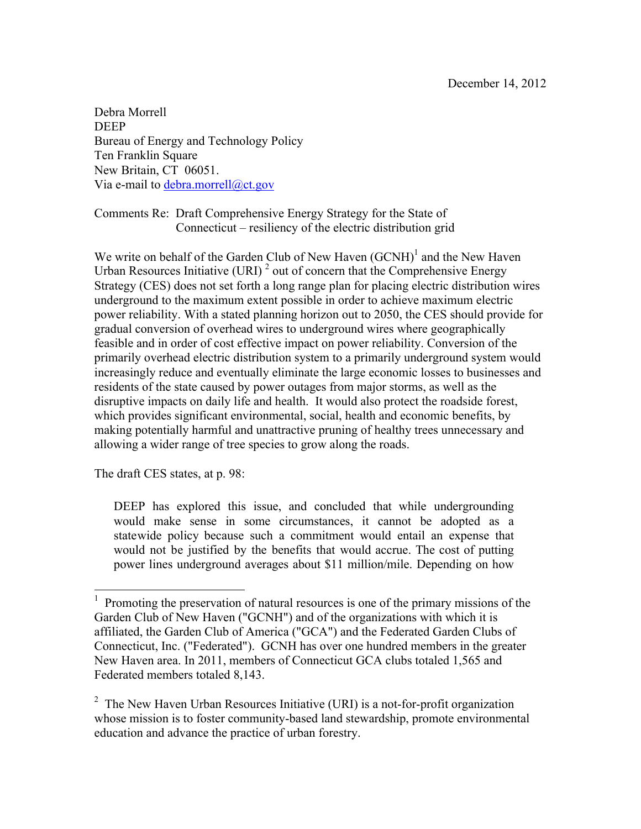Debra Morrell DEEP Bureau of Energy and Technology Policy Ten Franklin Square New Britain, CT 06051. Via e-mail to debra.morrell@ct.gov

Comments Re: Draft Comprehensive Energy Strategy for the State of Connecticut – resiliency of the electric distribution grid

We write on behalf of the Garden Club of New Haven  $(GCNH)^1$  and the New Haven Urban Resources Initiative (URI)<sup>2</sup> out of concern that the Comprehensive Energy Strategy (CES) does not set forth a long range plan for placing electric distribution wires underground to the maximum extent possible in order to achieve maximum electric power reliability. With a stated planning horizon out to 2050, the CES should provide for gradual conversion of overhead wires to underground wires where geographically feasible and in order of cost effective impact on power reliability. Conversion of the primarily overhead electric distribution system to a primarily underground system would increasingly reduce and eventually eliminate the large economic losses to businesses and residents of the state caused by power outages from major storms, as well as the disruptive impacts on daily life and health. It would also protect the roadside forest, which provides significant environmental, social, health and economic benefits, by making potentially harmful and unattractive pruning of healthy trees unnecessary and allowing a wider range of tree species to grow along the roads.

The draft CES states, at p. 98:

DEEP has explored this issue, and concluded that while undergrounding would make sense in some circumstances, it cannot be adopted as a statewide policy because such a commitment would entail an expense that would not be justified by the benefits that would accrue. The cost of putting power lines underground averages about \$11 million/mile. Depending on how

<sup>&</sup>lt;sup>1</sup> Promoting the preservation of natural resources is one of the primary missions of the Garden Club of New Haven ("GCNH") and of the organizations with which it is affiliated, the Garden Club of America ("GCA") and the Federated Garden Clubs of Connecticut, Inc. ("Federated"). GCNH has over one hundred members in the greater New Haven area. In 2011, members of Connecticut GCA clubs totaled 1,565 and Federated members totaled 8,143.

<sup>&</sup>lt;sup>2</sup> The New Haven Urban Resources Initiative (URI) is a not-for-profit organization whose mission is to foster community-based land stewardship, promote environmental education and advance the practice of urban forestry.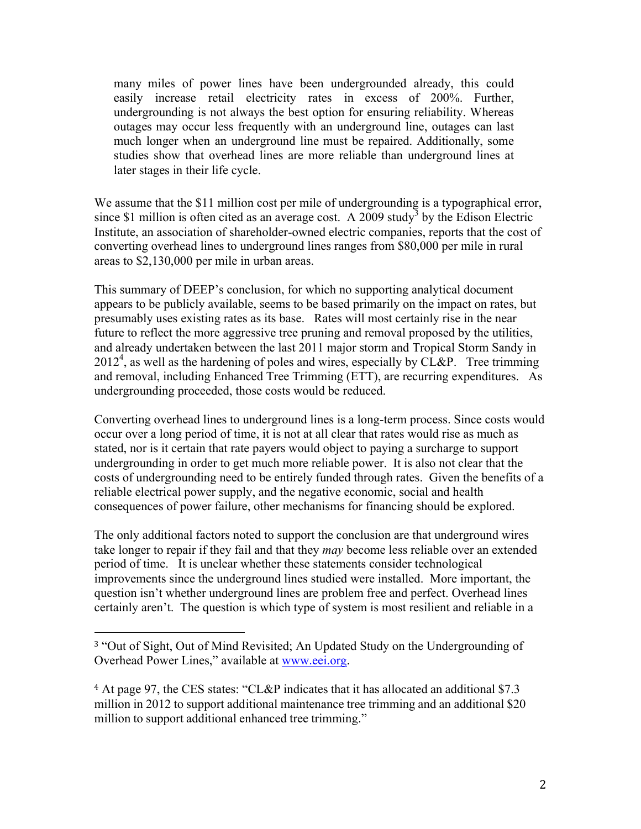many miles of power lines have been undergrounded already, this could easily increase retail electricity rates in excess of 200%. Further, undergrounding is not always the best option for ensuring reliability. Whereas outages may occur less frequently with an underground line, outages can last much longer when an underground line must be repaired. Additionally, some studies show that overhead lines are more reliable than underground lines at later stages in their life cycle.

We assume that the \$11 million cost per mile of undergrounding is a typographical error, since \$1 million is often cited as an average cost. A 2009 study<sup>3</sup> by the Edison Electric Institute, an association of shareholder-owned electric companies, reports that the cost of converting overhead lines to underground lines ranges from \$80,000 per mile in rural areas to \$2,130,000 per mile in urban areas.

This summary of DEEP's conclusion, for which no supporting analytical document appears to be publicly available, seems to be based primarily on the impact on rates, but presumably uses existing rates as its base. Rates will most certainly rise in the near future to reflect the more aggressive tree pruning and removal proposed by the utilities, and already undertaken between the last 2011 major storm and Tropical Storm Sandy in  $2012<sup>4</sup>$ , as well as the hardening of poles and wires, especially by CL&P. Tree trimming and removal, including Enhanced Tree Trimming (ETT), are recurring expenditures. As undergrounding proceeded, those costs would be reduced.

Converting overhead lines to underground lines is a long-term process. Since costs would occur over a long period of time, it is not at all clear that rates would rise as much as stated, nor is it certain that rate payers would object to paying a surcharge to support undergrounding in order to get much more reliable power. It is also not clear that the costs of undergrounding need to be entirely funded through rates. Given the benefits of a reliable electrical power supply, and the negative economic, social and health consequences of power failure, other mechanisms for financing should be explored.

The only additional factors noted to support the conclusion are that underground wires take longer to repair if they fail and that they *may* become less reliable over an extended period of time. It is unclear whether these statements consider technological improvements since the underground lines studied were installed. More important, the question isn't whether underground lines are problem free and perfect. Overhead lines certainly aren't. The question is which type of system is most resilient and reliable in a

 

<sup>3</sup> "Out of Sight, Out of Mind Revisited; An Updated Study on the Undergrounding of Overhead Power Lines," available at www.eei.org.

<sup>4</sup> At page 97, the CES states: "CL&P indicates that it has allocated an additional \$7.3 million in 2012 to support additional maintenance tree trimming and an additional \$20 million to support additional enhanced tree trimming."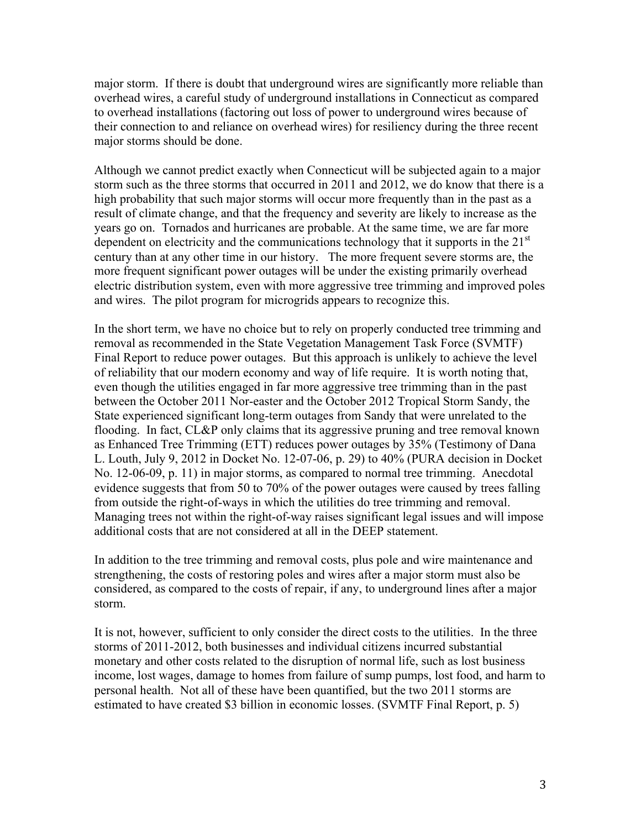major storm. If there is doubt that underground wires are significantly more reliable than overhead wires, a careful study of underground installations in Connecticut as compared to overhead installations (factoring out loss of power to underground wires because of their connection to and reliance on overhead wires) for resiliency during the three recent major storms should be done.

Although we cannot predict exactly when Connecticut will be subjected again to a major storm such as the three storms that occurred in 2011 and 2012, we do know that there is a high probability that such major storms will occur more frequently than in the past as a result of climate change, and that the frequency and severity are likely to increase as the years go on. Tornados and hurricanes are probable. At the same time, we are far more dependent on electricity and the communications technology that it supports in the  $21<sup>st</sup>$ century than at any other time in our history. The more frequent severe storms are, the more frequent significant power outages will be under the existing primarily overhead electric distribution system, even with more aggressive tree trimming and improved poles and wires. The pilot program for microgrids appears to recognize this.

In the short term, we have no choice but to rely on properly conducted tree trimming and removal as recommended in the State Vegetation Management Task Force (SVMTF) Final Report to reduce power outages. But this approach is unlikely to achieve the level of reliability that our modern economy and way of life require. It is worth noting that, even though the utilities engaged in far more aggressive tree trimming than in the past between the October 2011 Nor-easter and the October 2012 Tropical Storm Sandy, the State experienced significant long-term outages from Sandy that were unrelated to the flooding. In fact, CL&P only claims that its aggressive pruning and tree removal known as Enhanced Tree Trimming (ETT) reduces power outages by 35% (Testimony of Dana L. Louth, July 9, 2012 in Docket No. 12-07-06, p. 29) to 40% (PURA decision in Docket No. 12-06-09, p. 11) in major storms, as compared to normal tree trimming. Anecdotal evidence suggests that from 50 to 70% of the power outages were caused by trees falling from outside the right-of-ways in which the utilities do tree trimming and removal. Managing trees not within the right-of-way raises significant legal issues and will impose additional costs that are not considered at all in the DEEP statement.

In addition to the tree trimming and removal costs, plus pole and wire maintenance and strengthening, the costs of restoring poles and wires after a major storm must also be considered, as compared to the costs of repair, if any, to underground lines after a major storm.

It is not, however, sufficient to only consider the direct costs to the utilities. In the three storms of 2011-2012, both businesses and individual citizens incurred substantial monetary and other costs related to the disruption of normal life, such as lost business income, lost wages, damage to homes from failure of sump pumps, lost food, and harm to personal health. Not all of these have been quantified, but the two 2011 storms are estimated to have created \$3 billion in economic losses. (SVMTF Final Report, p. 5)